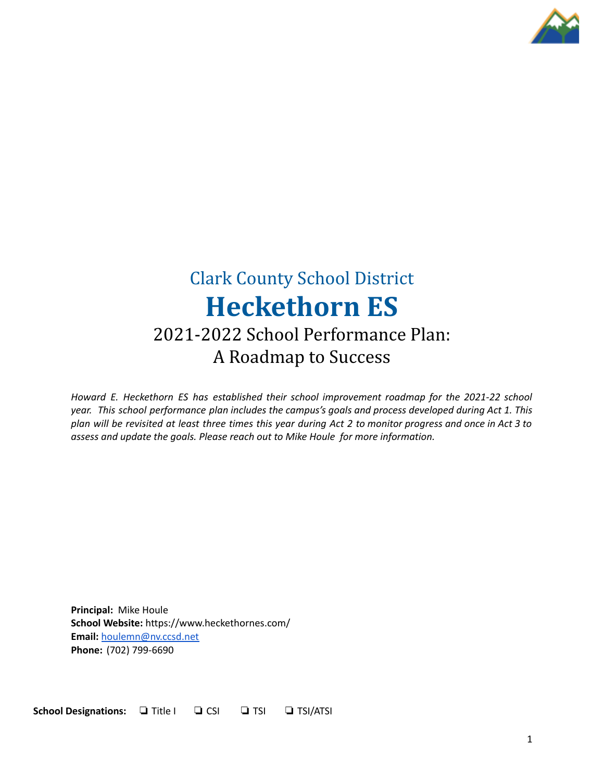

# Clark County School District **Heckethorn ES**

### 2021-2022 School Performance Plan: A Roadmap to Success

*Howard E. Heckethorn ES has established their school improvement roadmap for the 2021-22 school year. This school performance plan includes the campus's goals and process developed during Act 1. This* plan will be revisited at least three times this year during Act 2 to monitor progress and once in Act 3 to *assess and update the goals. Please reach out to Mike Houle for more information.*

**Principal:** Mike Houle **School Website:** https://www.heckethornes.com/ **Email:** [houlemn@nv.ccsd.net](mailto:houlemn@nv.ccsd.net) **Phone:** (702) 799-6690

**School Designations:** ❏ Title I ❏ CSI ❏ TSI ❏ TSI/ATSI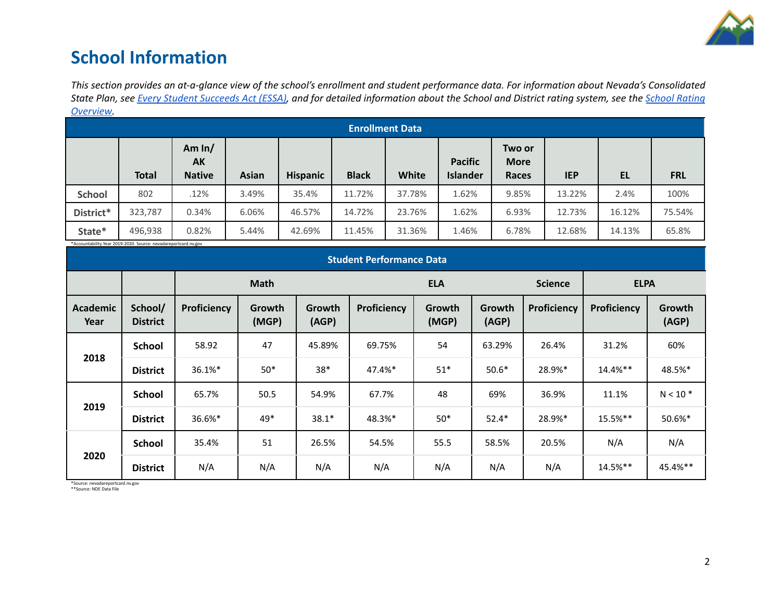

### **School Information**

This section provides an at-a-glance view of the school's enrollment and student performance data. For information about Nevada's Consolidated State Plan, see Every Student [Succeeds](https://doe.nv.gov/uploadedFiles/ndedoenvgov/content/Boards_Commissions_Councils/ESSA_Adv_Group/NevadaSubmittedConsolidatedPlanFinal.pdf) Act (ESSA), and for detailed information about the School and District rating system, see the School [Rating](http://nevadareportcard.nv.gov/DI/MoreDownload?filename=Nevadas%20School%20Rating%20System.pdf) *[Overview.](http://nevadareportcard.nv.gov/DI/MoreDownload?filename=Nevadas%20School%20Rating%20System.pdf)*

|               | <b>Enrollment Data</b> |                                        |              |                 |              |        |                                   |                                |            |        |            |
|---------------|------------------------|----------------------------------------|--------------|-----------------|--------------|--------|-----------------------------------|--------------------------------|------------|--------|------------|
|               | <b>Total</b>           | Am $ln/$<br><b>AK</b><br><b>Native</b> | <b>Asian</b> | <b>Hispanic</b> | <b>Black</b> | White  | <b>Pacific</b><br><b>Islander</b> | Two or<br><b>More</b><br>Races | <b>IEP</b> | EL     | <b>FRL</b> |
| <b>School</b> | 802                    | .12%                                   | 3.49%        | 35.4%           | 11.72%       | 37.78% | 1.62%                             | 9.85%                          | 13.22%     | 2.4%   | 100%       |
| District*     | 323,787                | 0.34%                                  | 6.06%        | 46.57%          | 14.72%       | 23.76% | 1.62%                             | 6.93%                          | 12.73%     | 16.12% | 75.54%     |
| State*        | 496,938                | 0.82%                                  | 5.44%        | 42.69%          | 11.45%       | 31.36% | 1.46%                             | 6.78%                          | 12.68%     | 14.13% | 65.8%      |

\*Accountability Year 2019-2020. Source: nevadareportcard.nv.gov

| <b>Student Performance Data</b> |                            |             |                 |                 |             |                 |                 |                |             |                 |
|---------------------------------|----------------------------|-------------|-----------------|-----------------|-------------|-----------------|-----------------|----------------|-------------|-----------------|
|                                 |                            | <b>Math</b> |                 |                 | <b>ELA</b>  |                 |                 | <b>Science</b> | <b>ELPA</b> |                 |
| <b>Academic</b><br>Year         | School/<br><b>District</b> | Proficiency | Growth<br>(MGP) | Growth<br>(AGP) | Proficiency | Growth<br>(MGP) | Growth<br>(AGP) | Proficiency    | Proficiency | Growth<br>(AGP) |
|                                 | <b>School</b>              | 58.92       | 47              | 45.89%          | 69.75%      | 54              | 63.29%          | 26.4%          | 31.2%       | 60%             |
| 2018                            | <b>District</b>            | 36.1%*      | $50*$           | $38*$           | 47.4%*      | $51*$           | $50.6*$         | 28.9%*         | $14.4%$ **  | 48.5%*          |
|                                 | School                     | 65.7%       | 50.5            | 54.9%           | 67.7%       | 48              | 69%             | 36.9%          | 11.1%       | $N < 10$ *      |
| 2019                            | <b>District</b>            | 36.6%*      | 49*             | $38.1*$         | 48.3%*      | $50*$           | $52.4*$         | 28.9%*         | 15.5%**     | 50.6%*          |
|                                 | School                     | 35.4%       | 51              | 26.5%           | 54.5%       | 55.5            | 58.5%           | 20.5%          | N/A         | N/A             |
| 2020                            | <b>District</b>            | N/A         | N/A             | N/A             | N/A         | N/A             | N/A             | N/A            | 14.5%**     | 45.4%**         |

\*Source: nevadareportcard.nv.gov \*\*Source: NDE Data File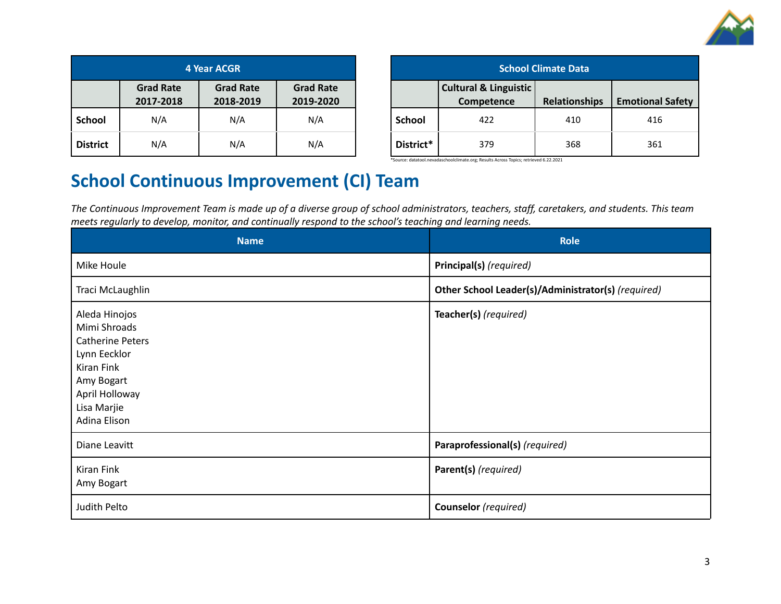

| 4 Year ACGR     |                               |                               |                               |  |
|-----------------|-------------------------------|-------------------------------|-------------------------------|--|
|                 | <b>Grad Rate</b><br>2017-2018 | <b>Grad Rate</b><br>2018-2019 | <b>Grad Rate</b><br>2019-2020 |  |
| <b>School</b>   | N/A                           | N/A                           | N/A                           |  |
| <b>District</b> | N/A                           | N/A                           | N/A                           |  |

| <b>School Climate Data</b> |                                                |                      |                         |  |  |
|----------------------------|------------------------------------------------|----------------------|-------------------------|--|--|
|                            | <b>Cultural &amp; Linguistic</b><br>Competence | <b>Relationships</b> | <b>Emotional Safety</b> |  |  |
| School                     | 422                                            | 410                  | 416                     |  |  |
| District*                  | 379                                            | 368                  | 361                     |  |  |

\*Source: datatool.nevadaschoolclimate.org; Results Across Topics; retrieved 6.22.2021

### **School Continuous Improvement (CI) Team**

The Continuous Improvement Team is made up of a diverse group of school administrators, teachers, staff, caretakers, and students. This team *meets regularly to develop, monitor, and continually respond to the school's teaching and learning needs.*

| <b>Name</b>                                                                                                                                           | <b>Role</b>                                        |
|-------------------------------------------------------------------------------------------------------------------------------------------------------|----------------------------------------------------|
| Mike Houle                                                                                                                                            | Principal(s) (required)                            |
| Traci McLaughlin                                                                                                                                      | Other School Leader(s)/Administrator(s) (required) |
| Aleda Hinojos<br>Mimi Shroads<br><b>Catherine Peters</b><br>Lynn Eecklor<br>Kiran Fink<br>Amy Bogart<br>April Holloway<br>Lisa Marjie<br>Adina Elison | Teacher(s) (required)                              |
| Diane Leavitt                                                                                                                                         | Paraprofessional(s) (required)                     |
| Kiran Fink<br>Amy Bogart                                                                                                                              | Parent(s) (required)                               |
| Judith Pelto                                                                                                                                          | Counselor (required)                               |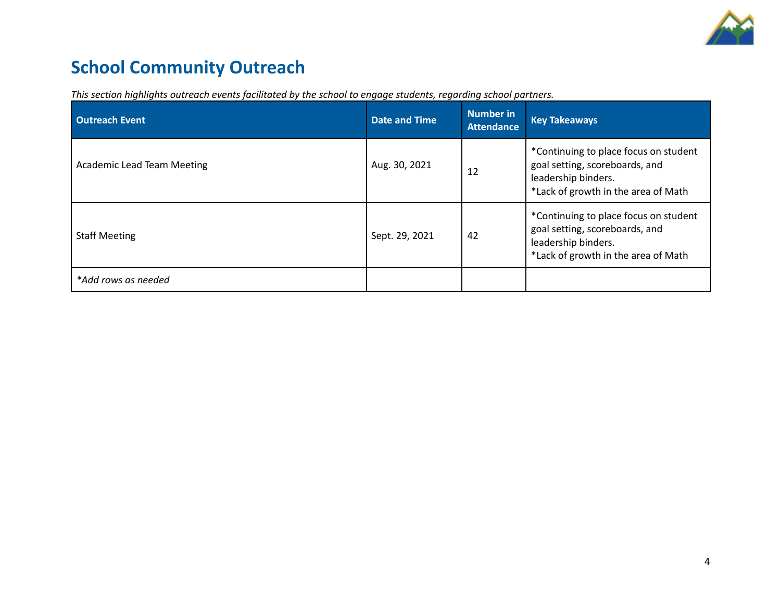

## **School Community Outreach**

| <b>Outreach Event</b>             | <b>Date and Time</b> | <b>Number in</b><br><b>Attendance</b> | <b>Key Takeaways</b>                                                                                                                  |
|-----------------------------------|----------------------|---------------------------------------|---------------------------------------------------------------------------------------------------------------------------------------|
| <b>Academic Lead Team Meeting</b> | Aug. 30, 2021        | 12                                    | *Continuing to place focus on student<br>goal setting, scoreboards, and<br>leadership binders.<br>*Lack of growth in the area of Math |
| <b>Staff Meeting</b>              | Sept. 29, 2021       | 42                                    | *Continuing to place focus on student<br>goal setting, scoreboards, and<br>leadership binders.<br>*Lack of growth in the area of Math |
| *Add rows as needed               |                      |                                       |                                                                                                                                       |

*This section highlights outreach events facilitated by the school to engage students, regarding school partners.*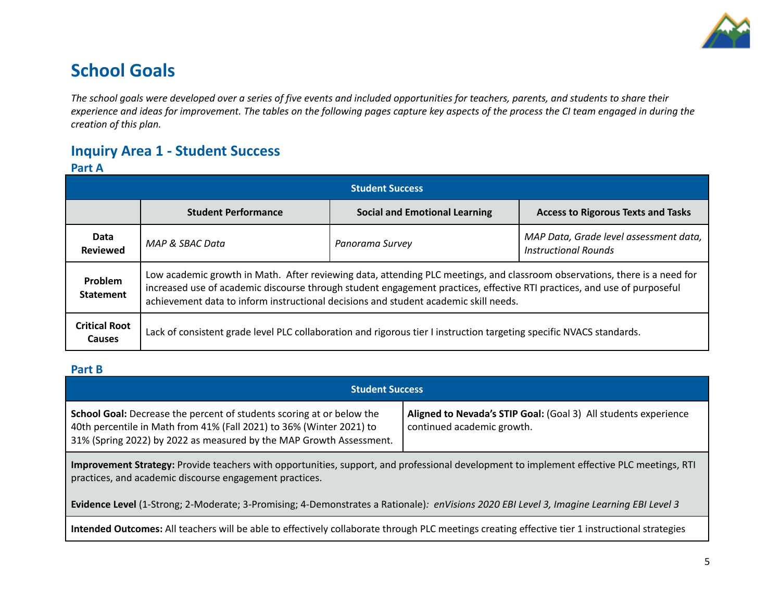

### **School Goals**

The school goals were developed over a series of five events and included opportunities for teachers, parents, and students to share their experience and ideas for improvement. The tables on the following pages capture key aspects of the process the CI team engaged in during the *creation of this plan.*

### **Inquiry Area 1 - Student Success**

#### **Part A**

| <b>Student Success</b>         |                                                                                                                                                                                                                                                                                                                                                |                                      |                                           |  |  |
|--------------------------------|------------------------------------------------------------------------------------------------------------------------------------------------------------------------------------------------------------------------------------------------------------------------------------------------------------------------------------------------|--------------------------------------|-------------------------------------------|--|--|
|                                | <b>Student Performance</b>                                                                                                                                                                                                                                                                                                                     | <b>Social and Emotional Learning</b> | <b>Access to Rigorous Texts and Tasks</b> |  |  |
| Data<br><b>Reviewed</b>        | MAP Data, Grade level assessment data,<br>MAP & SBAC Data<br>Panorama Survey<br><b>Instructional Rounds</b>                                                                                                                                                                                                                                    |                                      |                                           |  |  |
| Problem<br><b>Statement</b>    | Low academic growth in Math. After reviewing data, attending PLC meetings, and classroom observations, there is a need for<br>increased use of academic discourse through student engagement practices, effective RTI practices, and use of purposeful<br>achievement data to inform instructional decisions and student academic skill needs. |                                      |                                           |  |  |
| <b>Critical Root</b><br>Causes | Lack of consistent grade level PLC collaboration and rigorous tier I instruction targeting specific NVACS standards.                                                                                                                                                                                                                           |                                      |                                           |  |  |

#### **Part B**

| <b>Student Success</b>                                                                                                                                                                                                                                                                                                                           |  |  |  |  |  |
|--------------------------------------------------------------------------------------------------------------------------------------------------------------------------------------------------------------------------------------------------------------------------------------------------------------------------------------------------|--|--|--|--|--|
| <b>School Goal:</b> Decrease the percent of students scoring at or below the<br>Aligned to Nevada's STIP Goal: (Goal 3) All students experience<br>40th percentile in Math from 41% (Fall 2021) to 36% (Winter 2021) to<br>continued academic growth.<br>31% (Spring 2022) by 2022 as measured by the MAP Growth Assessment.                     |  |  |  |  |  |
| Improvement Strategy: Provide teachers with opportunities, support, and professional development to implement effective PLC meetings, RTI<br>practices, and academic discourse engagement practices.<br>Evidence Level (1-Strong; 2-Moderate; 3-Promising; 4-Demonstrates a Rationale): enVisions 2020 EBI Level 3, Imagine Learning EBI Level 3 |  |  |  |  |  |
| Intended Outcomes: All teachers will be able to effectively collaborate through PLC meetings creating effective tier 1 instructional strategies                                                                                                                                                                                                  |  |  |  |  |  |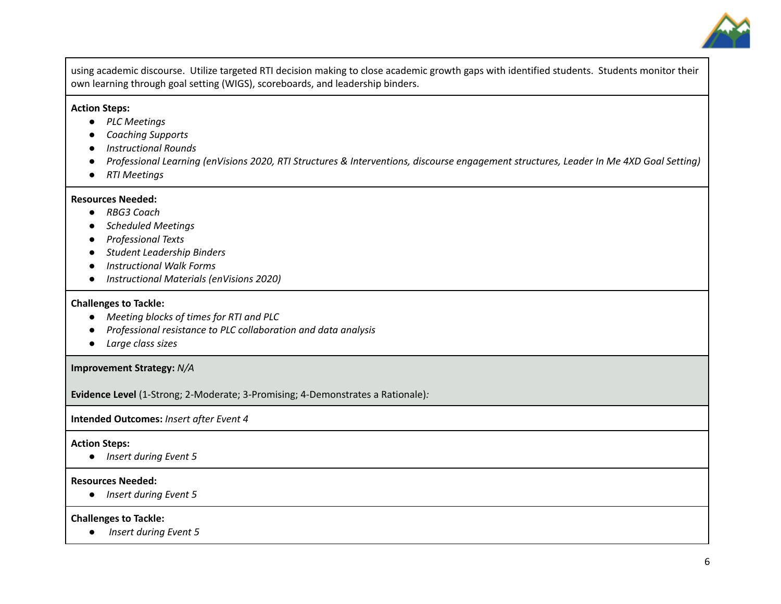

using academic discourse. Utilize targeted RTI decision making to close academic growth gaps with identified students. Students monitor their own learning through goal setting (WIGS), scoreboards, and leadership binders.

#### **Action Steps:**

- *● PLC Meetings*
- *● Coaching Supports*
- *● Instructional Rounds*
- Professional Learning (enVisions 2020, RTI Structures & Interventions, discourse engagement structures, Leader In Me 4XD Goal Setting)
- *● RTI Meetings*

#### **Resources Needed:**

- *● RBG3 Coach*
- *● Scheduled Meetings*
- *● Professional Texts*
- *● Student Leadership Binders*
- *● Instructional Walk Forms*
- *● Instructional Materials (enVisions 2020)*

#### **Challenges to Tackle:**

- *● Meeting blocks of times for RTI and PLC*
- *● Professional resistance to PLC collaboration and data analysis*
- *● Large class sizes*

#### **Improvement Strategy:** *N/A*

**Evidence Level** (1-Strong; 2-Moderate; 3-Promising; 4-Demonstrates a Rationale)*:*

**Intended Outcomes:** *Insert after Event 4*

#### **Action Steps:**

**●** *Insert during Event 5*

#### **Resources Needed:**

**●** *Insert during Event 5*

#### **Challenges to Tackle:**

**●** *Insert during Event 5*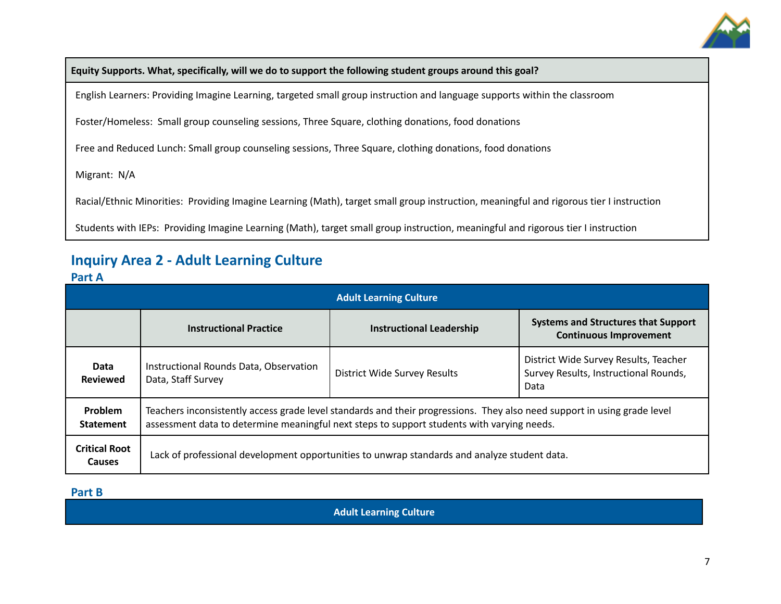

**Equity Supports. What, specifically, will we do to support the following student groups around this goal?**

English Learners: Providing Imagine Learning, targeted small group instruction and language supports within the classroom

Foster/Homeless: Small group counseling sessions, Three Square, clothing donations, food donations

Free and Reduced Lunch: Small group counseling sessions, Three Square, clothing donations, food donations

Migrant: N/A

Racial/Ethnic Minorities: Providing Imagine Learning (Math), target small group instruction, meaningful and rigorous tier I instruction

Students with IEPs: Providing Imagine Learning (Math), target small group instruction, meaningful and rigorous tier I instruction

### **Inquiry Area 2 - Adult Learning Culture**

#### **Part A**

| <b>Adult Learning Culture</b>         |                                                                                                                                                                                                                        |                                     |                                                                                        |  |  |
|---------------------------------------|------------------------------------------------------------------------------------------------------------------------------------------------------------------------------------------------------------------------|-------------------------------------|----------------------------------------------------------------------------------------|--|--|
|                                       | <b>Instructional Practice</b>                                                                                                                                                                                          | <b>Instructional Leadership</b>     | <b>Systems and Structures that Support</b><br><b>Continuous Improvement</b>            |  |  |
| Data<br><b>Reviewed</b>               | Instructional Rounds Data, Observation<br>Data, Staff Survey                                                                                                                                                           | <b>District Wide Survey Results</b> | District Wide Survey Results, Teacher<br>Survey Results, Instructional Rounds,<br>Data |  |  |
| Problem<br><b>Statement</b>           | Teachers inconsistently access grade level standards and their progressions. They also need support in using grade level<br>assessment data to determine meaningful next steps to support students with varying needs. |                                     |                                                                                        |  |  |
| <b>Critical Root</b><br><b>Causes</b> | Lack of professional development opportunities to unwrap standards and analyze student data.                                                                                                                           |                                     |                                                                                        |  |  |

#### **Part B**

**Adult Learning Culture**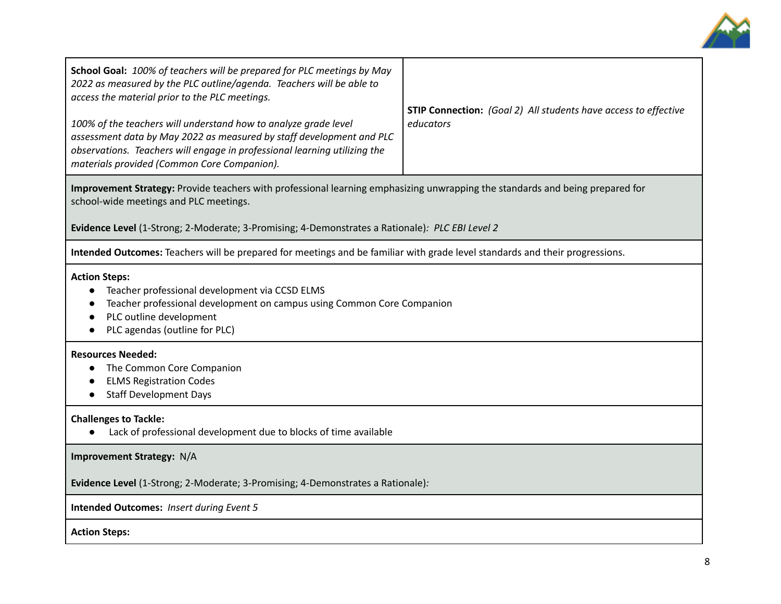

| School Goal: 100% of teachers will be prepared for PLC meetings by May<br>2022 as measured by the PLC outline/agenda. Teachers will be able to<br>access the material prior to the PLC meetings.<br>100% of the teachers will understand how to analyze grade level<br>assessment data by May 2022 as measured by staff development and PLC<br>observations. Teachers will engage in professional learning utilizing the<br>materials provided (Common Core Companion). | <b>STIP Connection:</b> (Goal 2) All students have access to effective<br>educators |  |  |  |
|-------------------------------------------------------------------------------------------------------------------------------------------------------------------------------------------------------------------------------------------------------------------------------------------------------------------------------------------------------------------------------------------------------------------------------------------------------------------------|-------------------------------------------------------------------------------------|--|--|--|
| Improvement Strategy: Provide teachers with professional learning emphasizing unwrapping the standards and being prepared for<br>school-wide meetings and PLC meetings.<br>Evidence Level (1-Strong; 2-Moderate; 3-Promising; 4-Demonstrates a Rationale): PLC EBI Level 2                                                                                                                                                                                              |                                                                                     |  |  |  |
| Intended Outcomes: Teachers will be prepared for meetings and be familiar with grade level standards and their progressions.                                                                                                                                                                                                                                                                                                                                            |                                                                                     |  |  |  |
| <b>Action Steps:</b><br>Teacher professional development via CCSD ELMS<br>Teacher professional development on campus using Common Core Companion<br>PLC outline development<br>PLC agendas (outline for PLC)                                                                                                                                                                                                                                                            |                                                                                     |  |  |  |
| <b>Resources Needed:</b><br>The Common Core Companion<br><b>ELMS Registration Codes</b><br><b>Staff Development Days</b>                                                                                                                                                                                                                                                                                                                                                |                                                                                     |  |  |  |
| <b>Challenges to Tackle:</b><br>Lack of professional development due to blocks of time available                                                                                                                                                                                                                                                                                                                                                                        |                                                                                     |  |  |  |
| Improvement Strategy: N/A                                                                                                                                                                                                                                                                                                                                                                                                                                               |                                                                                     |  |  |  |
| Evidence Level (1-Strong; 2-Moderate; 3-Promising; 4-Demonstrates a Rationale):                                                                                                                                                                                                                                                                                                                                                                                         |                                                                                     |  |  |  |
| <b>Intended Outcomes: Insert during Event 5</b>                                                                                                                                                                                                                                                                                                                                                                                                                         |                                                                                     |  |  |  |
| <b>Action Steps:</b>                                                                                                                                                                                                                                                                                                                                                                                                                                                    |                                                                                     |  |  |  |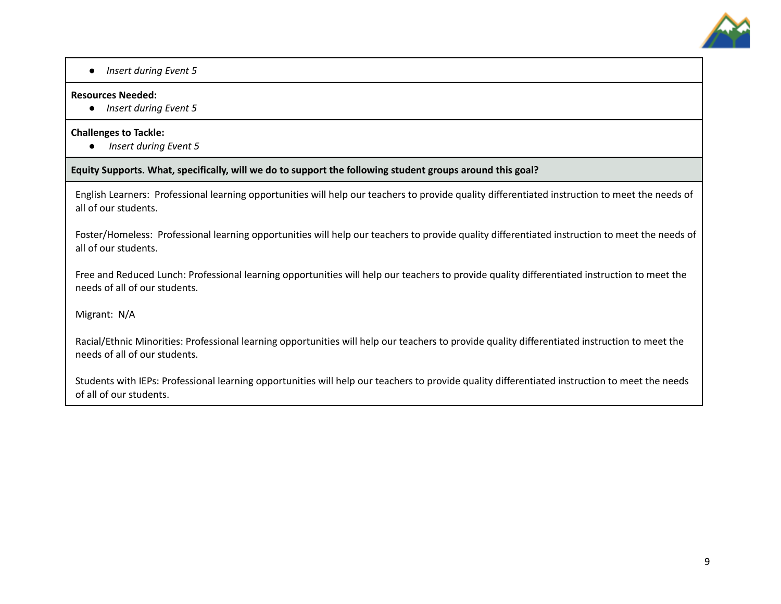

**●** *Insert during Event 5*

#### **Resources Needed:**

**●** *Insert during Event 5*

#### **Challenges to Tackle:**

**●** *Insert during Event 5*

**Equity Supports. What, specifically, will we do to support the following student groups around this goal?**

English Learners: Professional learning opportunities will help our teachers to provide quality differentiated instruction to meet the needs of all of our students.

Foster/Homeless: Professional learning opportunities will help our teachers to provide quality differentiated instruction to meet the needs of all of our students.

Free and Reduced Lunch: Professional learning opportunities will help our teachers to provide quality differentiated instruction to meet the needs of all of our students.

Migrant: N/A

Racial/Ethnic Minorities: Professional learning opportunities will help our teachers to provide quality differentiated instruction to meet the needs of all of our students.

Students with IEPs: Professional learning opportunities will help our teachers to provide quality differentiated instruction to meet the needs of all of our students.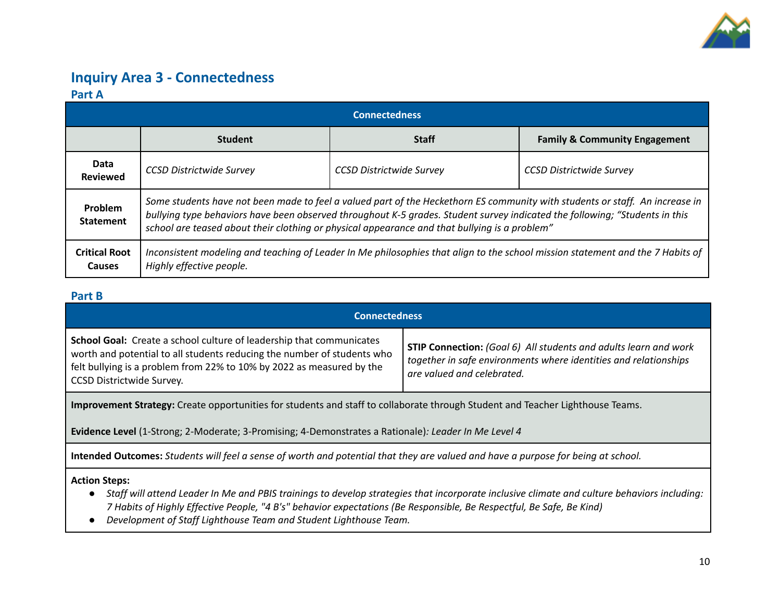

### **Inquiry Area 3 - Connectedness Part A**

| <b>Connectedness</b>           |                                                                                                                                                                                                                                                                                                                                                              |                                 |                                          |  |  |
|--------------------------------|--------------------------------------------------------------------------------------------------------------------------------------------------------------------------------------------------------------------------------------------------------------------------------------------------------------------------------------------------------------|---------------------------------|------------------------------------------|--|--|
|                                | <b>Student</b>                                                                                                                                                                                                                                                                                                                                               | <b>Staff</b>                    | <b>Family &amp; Community Engagement</b> |  |  |
| Data<br><b>Reviewed</b>        | <b>CCSD Districtwide Survey</b>                                                                                                                                                                                                                                                                                                                              | <b>CCSD Districtwide Survey</b> | <b>CCSD Districtwide Survey</b>          |  |  |
| Problem<br><b>Statement</b>    | Some students have not been made to feel a valued part of the Heckethorn ES community with students or staff. An increase in<br>bullying type behaviors have been observed throughout K-5 grades. Student survey indicated the following; "Students in this<br>school are teased about their clothing or physical appearance and that bullying is a problem" |                                 |                                          |  |  |
| <b>Critical Root</b><br>Causes | Inconsistent modeling and teaching of Leader In Me philosophies that align to the school mission statement and the 7 Habits of<br>Highly effective people.                                                                                                                                                                                                   |                                 |                                          |  |  |

### **Part B**

| <b>Connectedness</b>                                                                                                                                                                                                                                                                                                                                                                                                                      |  |  |  |  |  |
|-------------------------------------------------------------------------------------------------------------------------------------------------------------------------------------------------------------------------------------------------------------------------------------------------------------------------------------------------------------------------------------------------------------------------------------------|--|--|--|--|--|
| <b>School Goal:</b> Create a school culture of leadership that communicates<br><b>STIP Connection:</b> (Goal 6) All students and adults learn and work<br>worth and potential to all students reducing the number of students who<br>together in safe environments where identities and relationships<br>felt bullying is a problem from 22% to 10% by 2022 as measured by the<br>are valued and celebrated.<br>CCSD Districtwide Survey. |  |  |  |  |  |
| Improvement Strategy: Create opportunities for students and staff to collaborate through Student and Teacher Lighthouse Teams.                                                                                                                                                                                                                                                                                                            |  |  |  |  |  |
| Evidence Level (1-Strong; 2-Moderate; 3-Promising; 4-Demonstrates a Rationale): Leader In Me Level 4                                                                                                                                                                                                                                                                                                                                      |  |  |  |  |  |
| Intended Outcomes: Students will feel a sense of worth and potential that they are valued and have a purpose for being at school.                                                                                                                                                                                                                                                                                                         |  |  |  |  |  |
| <b>Action Steps:</b><br>Staff will attend Leader In Me and PBIS trainings to develop strategies that incorporate inclusive climate and culture behaviors including:<br>7 Habits of Highly Effective People, "4 B's" behavior expectations (Be Responsible, Be Respectful, Be Safe, Be Kind)                                                                                                                                               |  |  |  |  |  |

*● Development of Staff Lighthouse Team and Student Lighthouse Team.*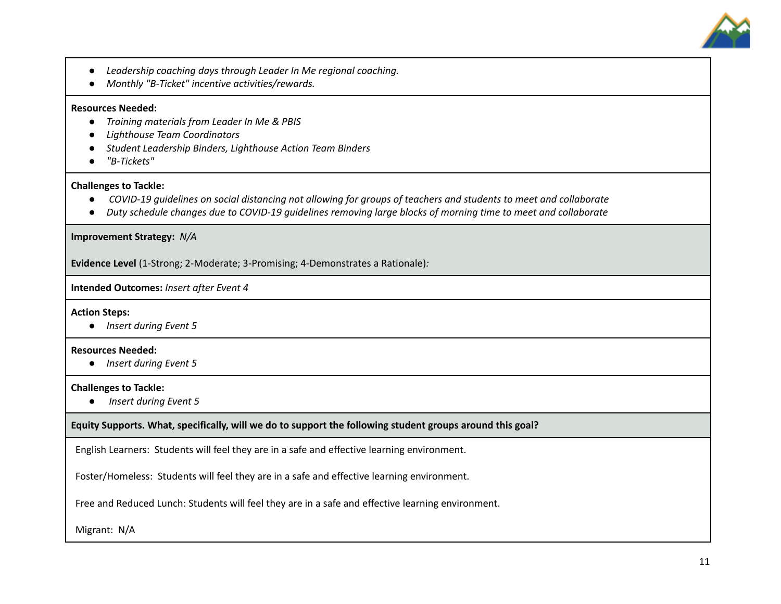

- *● Leadership coaching days through Leader In Me regional coaching.*
- *● Monthly "B-Ticket" incentive activities/rewards.*

#### **Resources Needed:**

- **●** *Training materials from Leader In Me & PBIS*
- **●** *Lighthouse Team Coordinators*
- **●** *Student Leadership Binders, Lighthouse Action Team Binders*
- **●** *"B-Tickets"*

#### **Challenges to Tackle:**

- COVID-19 guidelines on social distancing not allowing for groups of teachers and students to meet and collaborate
- Duty schedule changes due to COVID-19 quidelines removing large blocks of morning time to meet and collaborate

**Improvement Strategy:** *N/A*

**Evidence Level** (1-Strong; 2-Moderate; 3-Promising; 4-Demonstrates a Rationale)*:*

**Intended Outcomes:** *Insert after Event 4*

**Action Steps:**

**●** *Insert during Event 5*

#### **Resources Needed:**

**●** *Insert during Event 5*

#### **Challenges to Tackle:**

**●** *Insert during Event 5*

**Equity Supports. What, specifically, will we do to support the following student groups around this goal?**

English Learners: Students will feel they are in a safe and effective learning environment.

Foster/Homeless: Students will feel they are in a safe and effective learning environment.

Free and Reduced Lunch: Students will feel they are in a safe and effective learning environment.

Migrant: N/A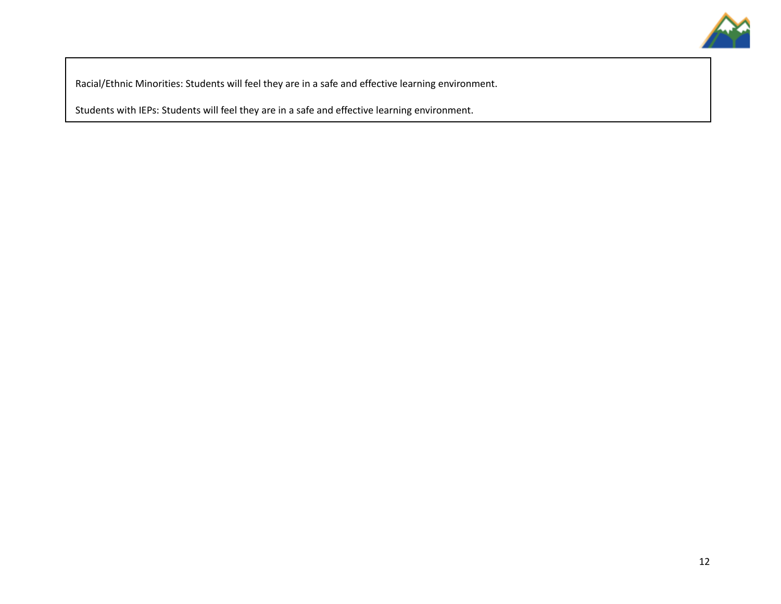

Racial/Ethnic Minorities: Students will feel they are in a safe and effective learning environment.

Students with IEPs: Students will feel they are in a safe and effective learning environment.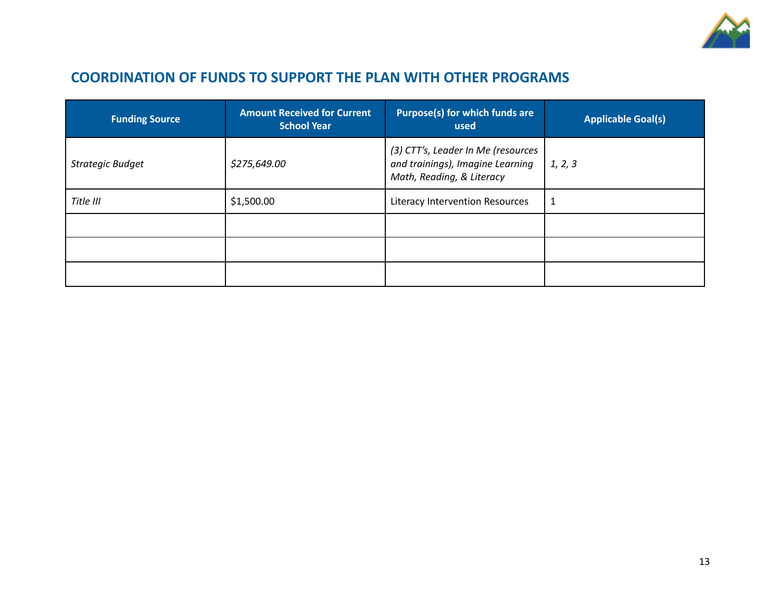

### **COORDINATION OF FUNDS TO SUPPORT THE PLAN WITH OTHER PROGRAMS**

| <b>Funding Source</b>   | <b>Amount Received for Current</b><br><b>School Year</b> | Purpose(s) for which funds are<br>used                                                              | <b>Applicable Goal(s)</b> |
|-------------------------|----------------------------------------------------------|-----------------------------------------------------------------------------------------------------|---------------------------|
| <b>Strategic Budget</b> | \$275,649.00                                             | (3) CTT's, Leader In Me (resources<br>and trainings), Imagine Learning<br>Math, Reading, & Literacy | 1, 2, 3                   |
| Title III               | \$1,500.00                                               | Literacy Intervention Resources                                                                     | 1                         |
|                         |                                                          |                                                                                                     |                           |
|                         |                                                          |                                                                                                     |                           |
|                         |                                                          |                                                                                                     |                           |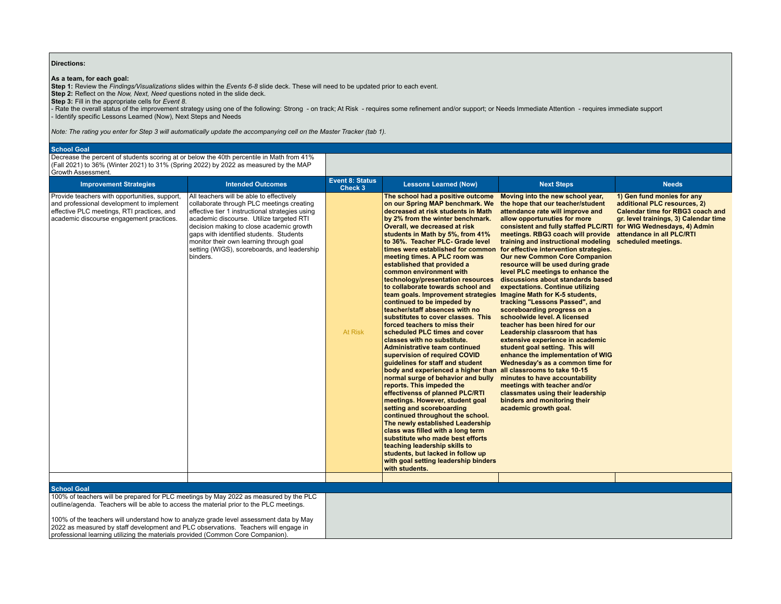#### **Directions:**

**As a team, for each goal:**<br>Step 1: Review the *Findings/Visualizations* slides within the *Events 6-8* slide deck. These will need to be updated prior to each event.<br>Step 2: Reflect on the *Now, Next, Need* questions not

- Rate the overall status of the improvement strategy using one of the following: Strong - on track; At Risk - requires some refinement and/or support; or Needs Immediate Attention - requires immediate support - Identify specific Lessons Learned (Now), Next Steps and Needs

*Note: The rating you enter for Step 3 will automatically update the accompanying cell on the Master Tracker (tab 1).*

#### **School Goal**

Decrease the percent of students scoring at or below the 40th percentile in Math from 41% (Fall 2021) to 36% (Winter 2021) to 31% (Spring 2022) by 2022 as measured by the MAP Growth Assessment.

| <b>Improvement Strategies</b>                                                                                                                                                        | <b>Intended Outcomes</b>                                                                                                                                                                                                                                                                                                                                                          | Event 8: Status<br>Check 3 | <b>Lessons Learned (Now)</b>                                                                                                                                                                                                                                                                                                                                                                                                                                                                                                                                                                                                                                                                                                                                                                                                                                                                                                                                                                                                                                                                                                                                                                                                                                                                                      | <b>Next Steps</b>                                                                                                                                                                                                                                                                                                                                                                                                                                                                                                                                                                                                                                                                                                                                                                                                                                                                                                                                                                                                                                                                      | <b>Needs</b>                                                                                                                                                                                |
|--------------------------------------------------------------------------------------------------------------------------------------------------------------------------------------|-----------------------------------------------------------------------------------------------------------------------------------------------------------------------------------------------------------------------------------------------------------------------------------------------------------------------------------------------------------------------------------|----------------------------|-------------------------------------------------------------------------------------------------------------------------------------------------------------------------------------------------------------------------------------------------------------------------------------------------------------------------------------------------------------------------------------------------------------------------------------------------------------------------------------------------------------------------------------------------------------------------------------------------------------------------------------------------------------------------------------------------------------------------------------------------------------------------------------------------------------------------------------------------------------------------------------------------------------------------------------------------------------------------------------------------------------------------------------------------------------------------------------------------------------------------------------------------------------------------------------------------------------------------------------------------------------------------------------------------------------------|----------------------------------------------------------------------------------------------------------------------------------------------------------------------------------------------------------------------------------------------------------------------------------------------------------------------------------------------------------------------------------------------------------------------------------------------------------------------------------------------------------------------------------------------------------------------------------------------------------------------------------------------------------------------------------------------------------------------------------------------------------------------------------------------------------------------------------------------------------------------------------------------------------------------------------------------------------------------------------------------------------------------------------------------------------------------------------------|---------------------------------------------------------------------------------------------------------------------------------------------------------------------------------------------|
| Provide teachers with opportunities, support,<br>and professional development to implement<br>effective PLC meetings, RTI practices, and<br>academic discourse engagement practices. | All teachers will be able to effectively<br>collaborate through PLC meetings creating<br>effective tier 1 instructional strategies using<br>academic discourse. Utilize targeted RTI<br>decision making to close academic growth<br>gaps with identified students. Students<br>monitor their own learning through goal<br>setting (WIGS), scoreboards, and leadership<br>binders. | At Risk                    | The school had a positive outcome<br>on our Spring MAP benchmark. We<br>decreased at risk students in Math<br>by 2% from the winter benchmark.<br>Overall, we decreased at risk<br>students in Math by 5%, from 41%<br>to 36%. Teacher PLC- Grade level<br>times were established for common<br>meeting times. A PLC room was<br>established that provided a<br>common environment with<br>technology/presentation resources<br>to collaborate towards school and<br>team goals. Improvement strategies<br>continued to be impeded by<br>teacher/staff absences with no<br>substitutes to cover classes. This<br>forced teachers to miss their<br>scheduled PLC times and cover<br>classes with no substitute.<br>Administrative team continued<br>supervision of required COVID<br>quidelines for staff and student<br>body and experienced a higher than<br>normal surge of behavior and bully<br>reports. This impeded the<br>effectivenss of planned PLC/RTI<br>meetings. However, student goal<br>setting and scoreboarding<br>continued throughout the school.<br>The newly established Leadership<br>class was filled with a long term<br>substitute who made best efforts<br>teaching leadership skills to<br>students, but lacked in follow up<br>with goal setting leadership binders<br>with students. | Moving into the new school year,<br>the hope that our teacher/student<br>attendance rate will improve and<br>allow opportunuties for more<br>consistent and fully staffed PLC/RTI for WIG Wednesdays, 4) Admin<br>meetings. RBG3 coach will provide<br>training and instructional modeling<br>for effective intervention strategies.<br><b>Our new Common Core Companion</b><br>resource will be used during grade<br>level PLC meetings to enhance the<br>discussions about standards based<br>expectations. Continue utilizing<br>Imagine Math for K-5 students,<br>tracking "Lessons Passed", and<br>scoreboarding progress on a<br>schoolwide level. A licensed<br>teacher has been hired for our<br>Leadership classroom that has<br>extensive experience in academic<br>student goal setting. This will<br>enhance the implementation of WIG<br>Wednesday's as a common time for<br>all classrooms to take 10-15<br>minutes to have accountability<br>meetings with teacher and/or<br>classmates using their leadership<br>binders and monitoring their<br>academic growth goal. | 1) Gen fund monies for any<br>additional PLC resources, 2)<br>Calendar time for RBG3 coach and<br>gr. level trainings, 3) Calendar time<br>attendance in all PLC/RTI<br>scheduled meetings. |
| <b>School Goal</b>                                                                                                                                                                   |                                                                                                                                                                                                                                                                                                                                                                                   |                            |                                                                                                                                                                                                                                                                                                                                                                                                                                                                                                                                                                                                                                                                                                                                                                                                                                                                                                                                                                                                                                                                                                                                                                                                                                                                                                                   |                                                                                                                                                                                                                                                                                                                                                                                                                                                                                                                                                                                                                                                                                                                                                                                                                                                                                                                                                                                                                                                                                        |                                                                                                                                                                                             |
| 100% of teachers will be prepared for PLC meetings by May 2022 as measured by the PLC                                                                                                |                                                                                                                                                                                                                                                                                                                                                                                   |                            |                                                                                                                                                                                                                                                                                                                                                                                                                                                                                                                                                                                                                                                                                                                                                                                                                                                                                                                                                                                                                                                                                                                                                                                                                                                                                                                   |                                                                                                                                                                                                                                                                                                                                                                                                                                                                                                                                                                                                                                                                                                                                                                                                                                                                                                                                                                                                                                                                                        |                                                                                                                                                                                             |
| outline/agenda. Teachers will be able to access the material prior to the PLC meetings.                                                                                              |                                                                                                                                                                                                                                                                                                                                                                                   |                            |                                                                                                                                                                                                                                                                                                                                                                                                                                                                                                                                                                                                                                                                                                                                                                                                                                                                                                                                                                                                                                                                                                                                                                                                                                                                                                                   |                                                                                                                                                                                                                                                                                                                                                                                                                                                                                                                                                                                                                                                                                                                                                                                                                                                                                                                                                                                                                                                                                        |                                                                                                                                                                                             |

100% of the teachers will understand how to analyze grade level assessment data by May<br>2022 as measured by staff development and PLC observations. Teachers will engage in<br>professional learning utilizing the materials prov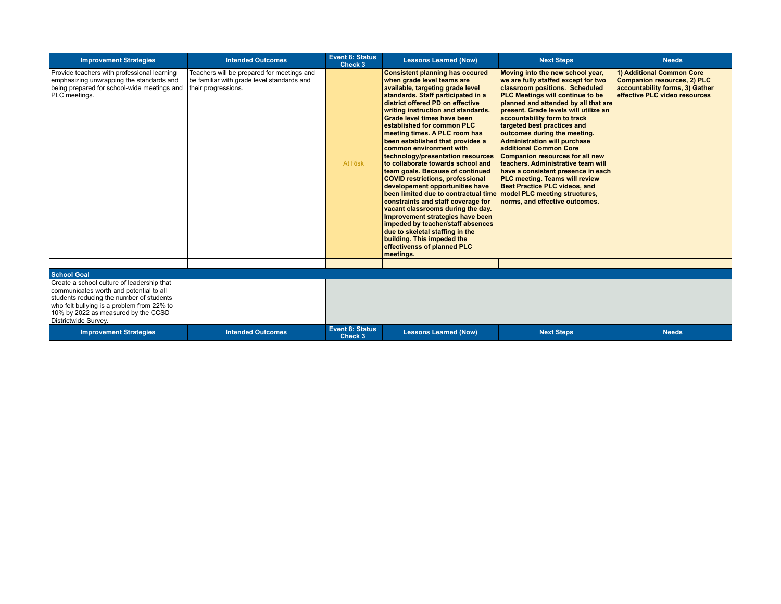| <b>Improvement Strategies</b>                                                                                                                                                                                                                  | <b>Intended Outcomes</b>                                                                                        | <b>Event 8: Status</b><br>Check 3 | <b>Lessons Learned (Now)</b>                                                                                                                                                                                                                                                                                                                                                                                                                                                                                                                                                                                                                                                                                                                                                                                                                                                               | <b>Next Steps</b>                                                                                                                                                                                                                                                                                                                                                                                                                                                                                                                                                                                                                                                 | <b>Needs</b>                                                                                                                        |
|------------------------------------------------------------------------------------------------------------------------------------------------------------------------------------------------------------------------------------------------|-----------------------------------------------------------------------------------------------------------------|-----------------------------------|--------------------------------------------------------------------------------------------------------------------------------------------------------------------------------------------------------------------------------------------------------------------------------------------------------------------------------------------------------------------------------------------------------------------------------------------------------------------------------------------------------------------------------------------------------------------------------------------------------------------------------------------------------------------------------------------------------------------------------------------------------------------------------------------------------------------------------------------------------------------------------------------|-------------------------------------------------------------------------------------------------------------------------------------------------------------------------------------------------------------------------------------------------------------------------------------------------------------------------------------------------------------------------------------------------------------------------------------------------------------------------------------------------------------------------------------------------------------------------------------------------------------------------------------------------------------------|-------------------------------------------------------------------------------------------------------------------------------------|
| Provide teachers with professional learning<br>emphasizing unwrapping the standards and<br>being prepared for school-wide meetings and<br>PLC meetings.                                                                                        | Teachers will be prepared for meetings and<br>be familiar with grade level standards and<br>their progressions. | At Risk                           | <b>Consistent planning has occured</b><br>when grade level teams are<br>available, targeting grade level<br>standards. Staff participated in a<br>district offered PD on effective<br>writing instruction and standards.<br>Grade level times have been<br>established for common PLC<br>meeting times. A PLC room has<br>been established that provides a<br>common environment with<br>technology/presentation resources<br>to collaborate towards school and<br>team goals. Because of continued<br><b>COVID restrictions, professional</b><br>developement opportunities have<br>been limited due to contractual time<br>constraints and staff coverage for<br>vacant classrooms during the day.<br>Improvement strategies have been<br>impeded by teacher/staff absences<br>due to skeletal staffing in the<br>building. This impeded the<br>effectivenss of planned PLC<br>meetings. | Moving into the new school year,<br>we are fully staffed except for two<br>classroom positions. Scheduled<br>PLC Meetings will continue to be<br>planned and attended by all that are<br>present. Grade levels will utilize an<br>accountability form to track<br>targeted best practices and<br>outcomes during the meeting.<br><b>Administration will purchase</b><br>additional Common Core<br><b>Companion resources for all new</b><br>teachers. Administrative team will<br>have a consistent presence in each<br>PLC meeting. Teams will review<br><b>Best Practice PLC videos, and</b><br>model PLC meeting structures,<br>norms, and effective outcomes. | 1) Additional Common Core<br><b>Companion resources, 2) PLC</b><br>accountability forms, 3) Gather<br>effective PLC video resources |
|                                                                                                                                                                                                                                                |                                                                                                                 |                                   |                                                                                                                                                                                                                                                                                                                                                                                                                                                                                                                                                                                                                                                                                                                                                                                                                                                                                            |                                                                                                                                                                                                                                                                                                                                                                                                                                                                                                                                                                                                                                                                   |                                                                                                                                     |
| <b>School Goal</b>                                                                                                                                                                                                                             |                                                                                                                 |                                   |                                                                                                                                                                                                                                                                                                                                                                                                                                                                                                                                                                                                                                                                                                                                                                                                                                                                                            |                                                                                                                                                                                                                                                                                                                                                                                                                                                                                                                                                                                                                                                                   |                                                                                                                                     |
| Create a school culture of leadership that<br>communicates worth and potential to all<br>students reducing the number of students<br>who felt bullying is a problem from 22% to<br>10% by 2022 as measured by the CCSD<br>Districtwide Survev. |                                                                                                                 |                                   |                                                                                                                                                                                                                                                                                                                                                                                                                                                                                                                                                                                                                                                                                                                                                                                                                                                                                            |                                                                                                                                                                                                                                                                                                                                                                                                                                                                                                                                                                                                                                                                   |                                                                                                                                     |
| <b>Improvement Strategies</b>                                                                                                                                                                                                                  | <b>Intended Outcomes</b>                                                                                        | <b>Event 8: Status</b><br>Check 3 | <b>Lessons Learned (Now)</b>                                                                                                                                                                                                                                                                                                                                                                                                                                                                                                                                                                                                                                                                                                                                                                                                                                                               | <b>Next Steps</b>                                                                                                                                                                                                                                                                                                                                                                                                                                                                                                                                                                                                                                                 | <b>Needs</b>                                                                                                                        |